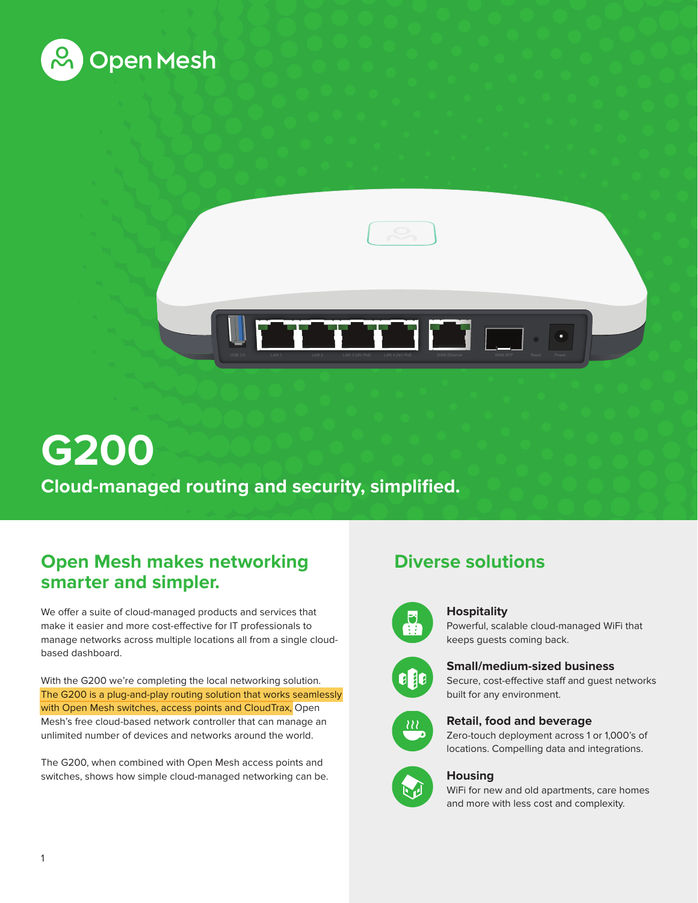



# **G200 Cloud-managed routing and security, simplified.**

## **Open Mesh makes networking smarter and simpler.**

We offer a suite of cloud-managed products and services that make it easier and more cost-effective for IT professionals to manage networks across multiple locations all from a single cloudbased dashboard.

With the G200 we're completing the local networking solution. The G200 is a plug-and-play routing solution that works seamlessly with Open Mesh switches, access points and CloudTrax, Open Mesh's free cloud-based network controller that can manage an unlimited number of devices and networks around the world.

The G200, when combined with Open Mesh access points and switches, shows how simple cloud-managed networking can be.

## **Diverse solutions**



### **Hospitality**

Powerful, scalable cloud-managed WiFi that keeps guests coming back.



### **Small/medium-sized business**

Secure, cost-effective staff and guest networks built for any environment.



### **Retail, food and beverage**

Zero-touch deployment across 1 or 1,000's of locations. Compelling data and integrations.



## **Housing**

WiFi for new and old apartments, care homes and more with less cost and complexity.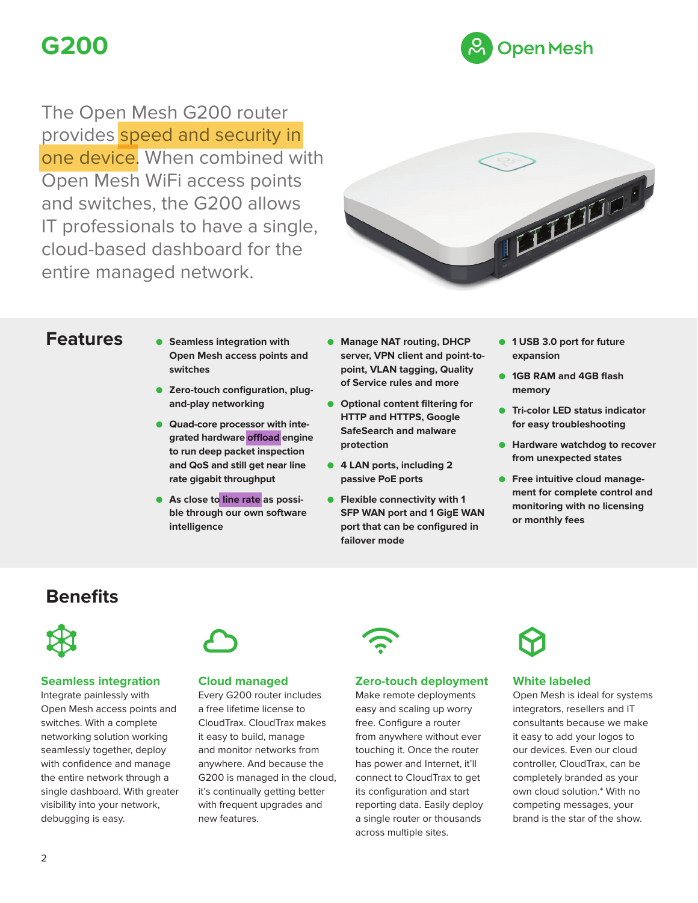# **G200**



The Open Mesh G200 router provides speed and security in one device. When combined with Open Mesh WiFi access points and switches, the G200 allows IT professionals to have a single, cloud-based dashboard for the entire managed network.



## **Features**

- **● Seamless integration with Open Mesh access points and switches**
- **● Zero-touch configuration, plugand-play networking**
- **● Quad-core processor with integrated hardware offload engine to run deep packet inspection and QoS and still get near line rate gigabit throughput**
- **● As close to line rate as possible through our own software intelligence**
- **● Manage NAT routing, DHCP server, VPN client and point-topoint, VLAN tagging, Quality of Service rules and more**
- **● Optional content filtering for HTTP and HTTPS, Google SafeSearch and malware protection**
- **● 4 LAN ports, including 2 passive PoE ports**
- **● Flexible connectivity with 1 SFP WAN port and 1 GigE WAN port that can be configured in failover mode**
- **● 1 USB 3.0 port for future expansion**
- **● 1GB RAM and 4GB flash memory**
- **● Tri-color LED status indicator for easy troubleshooting**
- **● Hardware watchdog to recover from unexpected states**
- **● Free intuitive cloud management for complete control and monitoring with no licensing or monthly fees**

## **Benefits**



## **Seamless integration**

Integrate painlessly with Open Mesh access points and switches. With a complete networking solution working seamlessly together, deploy with confidence and manage the entire network through a single dashboard. With greater visibility into your network, debugging is easy.



## **Cloud managed**

Every G200 router includes a free lifetime license to CloudTrax. CloudTrax makes it easy to build, manage and monitor networks from anywhere. And because the G200 is managed in the cloud, it's continually getting better with frequent upgrades and new features.



## **Zero-touch deployment**

Make remote deployments easy and scaling up worry free. Configure a router from anywhere without ever touching it. Once the router has power and Internet, it'll connect to CloudTrax to get its configuration and start reporting data. Easily deploy a single router or thousands across multiple sites.



### **White labeled**

Open Mesh is ideal for systems integrators, resellers and IT consultants because we make it easy to add your logos to our devices. Even our cloud controller, CloudTrax, can be completely branded as your own cloud solution.\* With no competing messages, your brand is the star of the show.